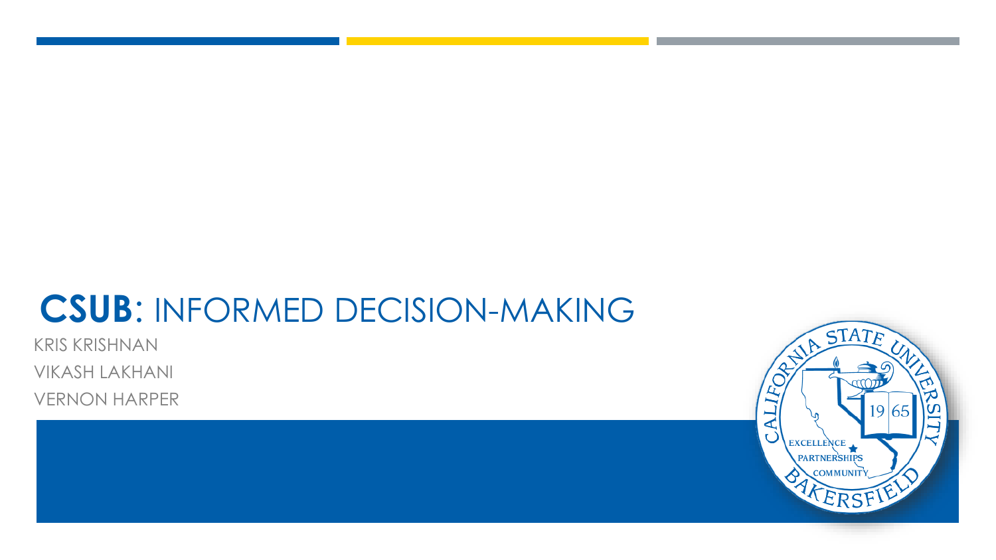# **CSUB**: INFORMED DECISION-MAKING

KRIS KRISHNAN

VIKASH LAKHANI

VERNON HARPER

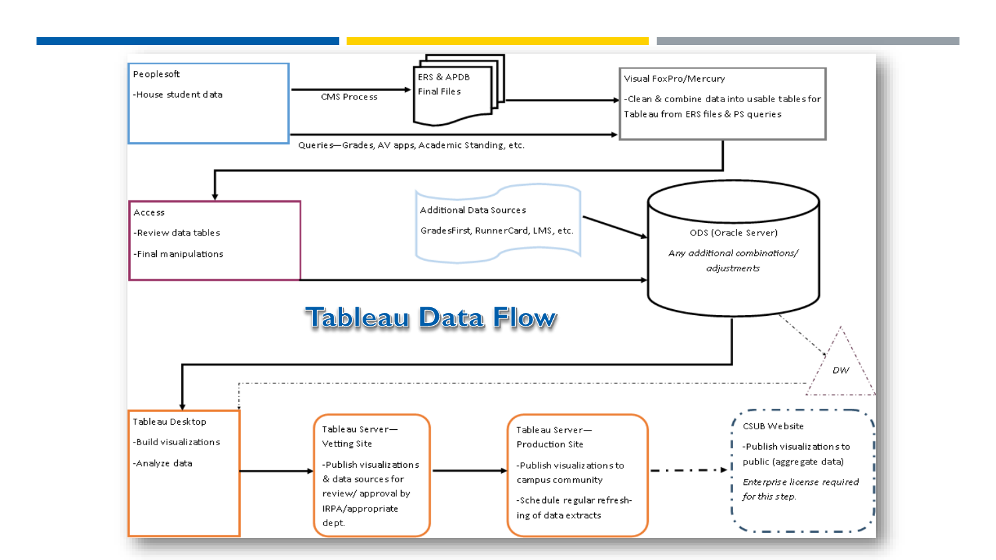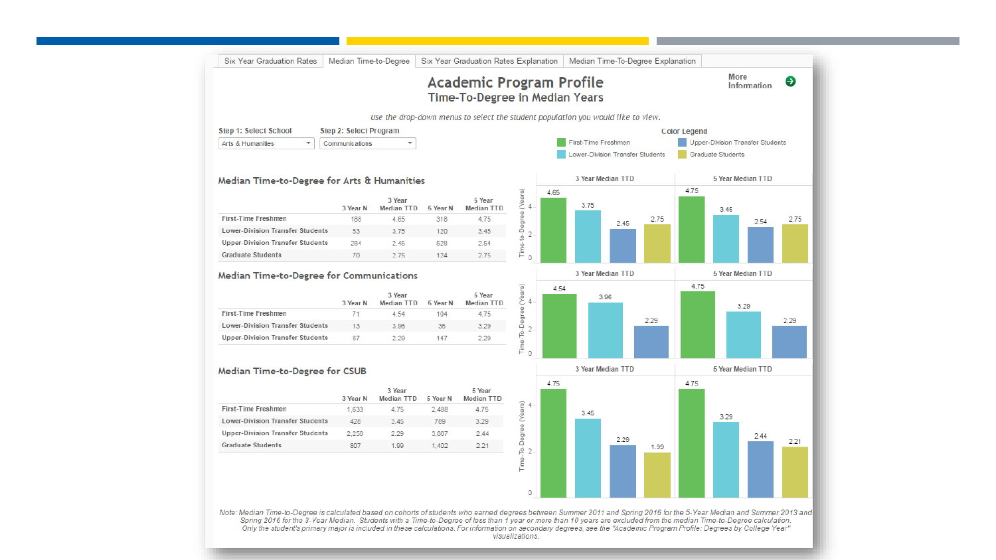|                                                                                    |                               |                      |                 | <b>Academic Program Profile</b>                                                  |                             |      |                                 |      |      |                                         |                          | More<br>Information | Θ    |
|------------------------------------------------------------------------------------|-------------------------------|----------------------|-----------------|----------------------------------------------------------------------------------|-----------------------------|------|---------------------------------|------|------|-----------------------------------------|--------------------------|---------------------|------|
|                                                                                    |                               |                      |                 | <b>Time-To-Degree in Median Years</b>                                            |                             |      |                                 |      |      |                                         |                          |                     |      |
|                                                                                    |                               |                      |                 | Use the drop-down menus to select the student population you would like to view. |                             |      |                                 |      |      |                                         |                          |                     |      |
| <b>Step 1: Select School</b>                                                       | <b>Step 2: Select Program</b> |                      |                 |                                                                                  |                             |      |                                 |      |      | <b>Color Legend</b>                     |                          |                     |      |
| $\overline{\mathbf{v}}$<br>Arts & Humanities                                       | Communic ations               | ▼                    |                 |                                                                                  |                             |      | First-Time Freshmen             |      |      | <b>Upper-Division Transfer Students</b> |                          |                     |      |
|                                                                                    |                               |                      |                 |                                                                                  |                             |      | ower-Division Transfer Students |      |      |                                         | <b>Graduate Students</b> |                     |      |
|                                                                                    |                               |                      |                 |                                                                                  |                             |      |                                 |      |      |                                         |                          |                     |      |
| Median Time-to-Degree for Arts & Humanities                                        |                               |                      |                 |                                                                                  |                             |      | 3 Year Median TTD               |      |      |                                         |                          | 5 Year Median TTD   |      |
|                                                                                    |                               | 3 Year               |                 | 5 Year                                                                           | Time-to-Degree (Years)      | 4.65 |                                 |      |      | 4.75                                    |                          |                     |      |
|                                                                                    | 3 Year N                      | <b>Median TTD</b>    | 5 Year N        | <b>Median TTD</b>                                                                | 4                           |      | 3.75                            |      |      |                                         | 3.45                     |                     |      |
| First-Time Freshmen                                                                | 188                           | 4.65                 | 318             | 4.75                                                                             |                             |      |                                 | 2.45 | 2.75 |                                         |                          | 2.54                | 2.75 |
| Lower-Division Transfer Students                                                   | 53                            | 3.75                 | 120             | 3.45                                                                             | $\overline{2}$              |      |                                 |      |      |                                         |                          |                     |      |
| <b>Upper-Division Transfer Students</b>                                            | 284                           | 2.45                 | 528             | 2.54                                                                             |                             |      |                                 |      |      |                                         |                          |                     |      |
|                                                                                    |                               | 2.75                 | 124             | 2.75                                                                             |                             |      |                                 |      |      |                                         |                          |                     |      |
| <b>Graduate Students</b><br><b>Median Time-to-Degree for Communications</b>        | 70                            | 3 Year               |                 | 5 Year                                                                           | $\Omega$<br>4               | 4.54 | 3 Year Median TTD<br>3.96       |      |      | 4.75                                    |                          | 5 Year Median TTD   |      |
| First-Time Freshmen                                                                | 3 Year N<br>71                | Median TTD<br>4.54   | 5 Year N<br>104 | Median TTD<br>4.75                                                               | (Years)                     |      |                                 |      | 2.29 |                                         |                          | 3.29                | 2.29 |
| <b>Lower-Division Transfer Students</b><br><b>Upper-Division Transfer Students</b> | 13<br>87                      | 3.96<br>2.29         | 36<br>147       | 3.29<br>2.29                                                                     | To-Degree<br>$\overline{2}$ |      |                                 |      |      |                                         |                          |                     |      |
|                                                                                    |                               |                      |                 |                                                                                  | Time-<br>0                  |      |                                 |      |      |                                         |                          |                     |      |
| <b>Median Time-to-Degree for CSUB</b>                                              |                               |                      |                 |                                                                                  |                             |      | 3 Year Median TTD               |      |      |                                         |                          | 5 Year Median TTD   |      |
|                                                                                    | 3 Year N                      | 3 Year<br>Median TTD | 5 Year N        | 5 Year<br>Median TTD                                                             |                             | 4.75 |                                 |      |      | 4.75                                    |                          |                     |      |
| First-Time Freshmen                                                                | 1.633                         | 4.75                 | 2.488           | 4.75                                                                             |                             |      |                                 |      |      |                                         |                          |                     |      |
| <b>Lower-Division Transfer Students</b>                                            | 428                           | 3.45                 | 789             | 3.29                                                                             |                             |      | 3.45                            |      |      |                                         | 3.29                     |                     |      |
| <b>Upper-Division Transfer Students</b>                                            | 2.256                         | 2.29                 | 3,867           | 2.44                                                                             |                             |      |                                 |      |      |                                         |                          | 2.44                |      |
| <b>Graduate Students</b>                                                           | 807                           | 1.99                 | 1.402           | 2.21                                                                             |                             |      |                                 | 2.29 | 1.99 |                                         |                          |                     |      |
|                                                                                    |                               |                      |                 |                                                                                  |                             |      |                                 |      |      |                                         |                          |                     | 2.21 |
|                                                                                    |                               |                      |                 |                                                                                  | Time-                       |      |                                 |      |      |                                         |                          |                     |      |
|                                                                                    |                               |                      |                 |                                                                                  | 0                           |      |                                 |      |      |                                         |                          |                     |      |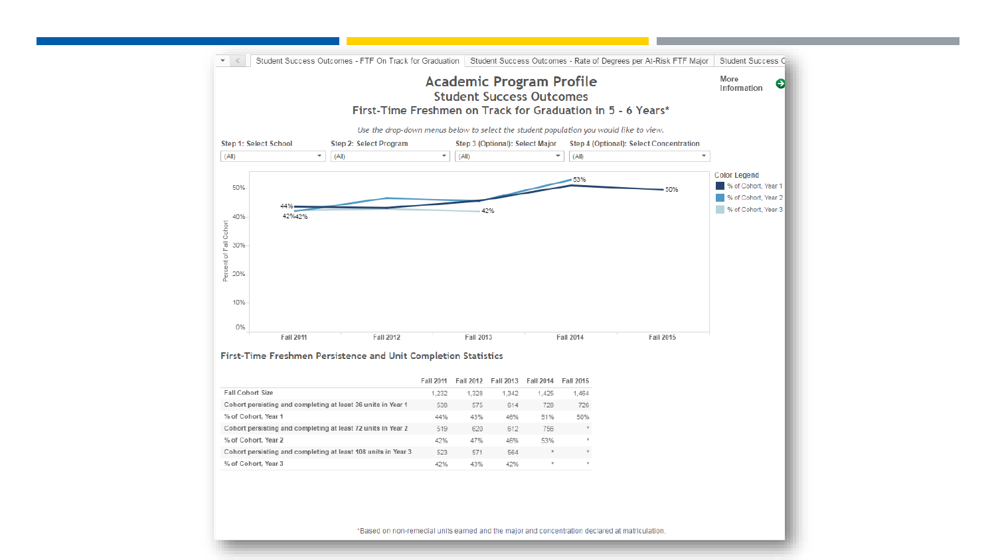

\*Based on non-remedial units earned and the major and concentration declared at matriculation.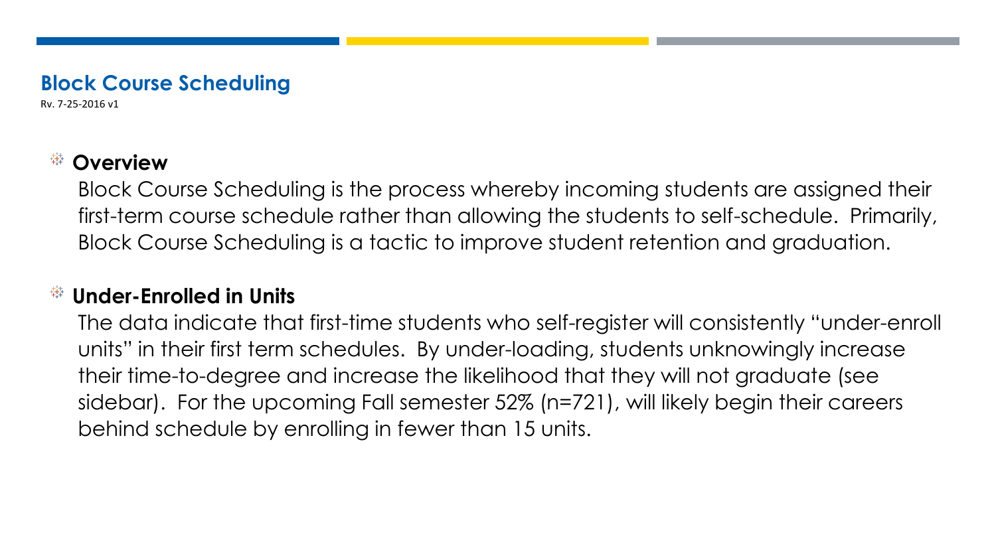## **Block Course Scheduling**

Rv. 7-25-2016 v1

#### 载 **Overview**

Block Course Scheduling is the process whereby incoming students are assigned their first-term course schedule rather than allowing the students to self-schedule. Primarily, Block Course Scheduling is a tactic to improve student retention and graduation.

## **Under-Enrolled in Units**

The data indicate that first-time students who self-register will consistently "under-enroll units" in their first term schedules. By under-loading, students unknowingly increase their time-to-degree and increase the likelihood that they will not graduate (see sidebar). For the upcoming Fall semester 52% (n=721), will likely begin their careers behind schedule by enrolling in fewer than 15 units.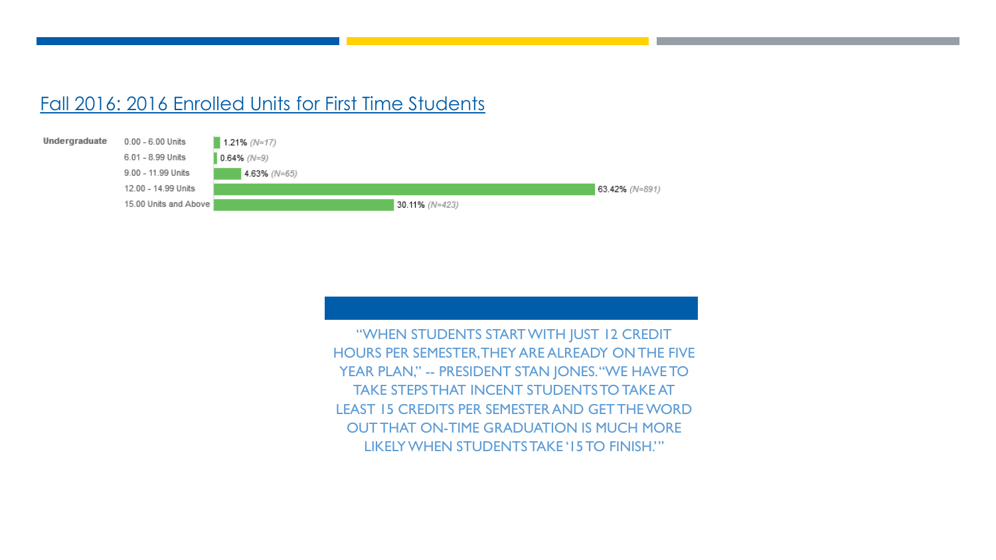#### Fall 2016: 2016 Enrolled Units for First Time Students



"WHEN STUDENTS START WITH JUST 12 CREDIT HOURS PER SEMESTER, THEY ARE ALREADY ON THE FIVE YEAR PLAN," -- PRESIDENT STAN JONES. "WE HAVE TO TAKE STEPS THAT INCENT STUDENTS TO TAKE AT LEAST 15 CREDITS PER SEMESTER AND GET THE WORD OUT THAT ON-TIME GRADUATION IS MUCH MORE LIKELY WHEN STUDENTS TAKE '15 TO FINISH.'"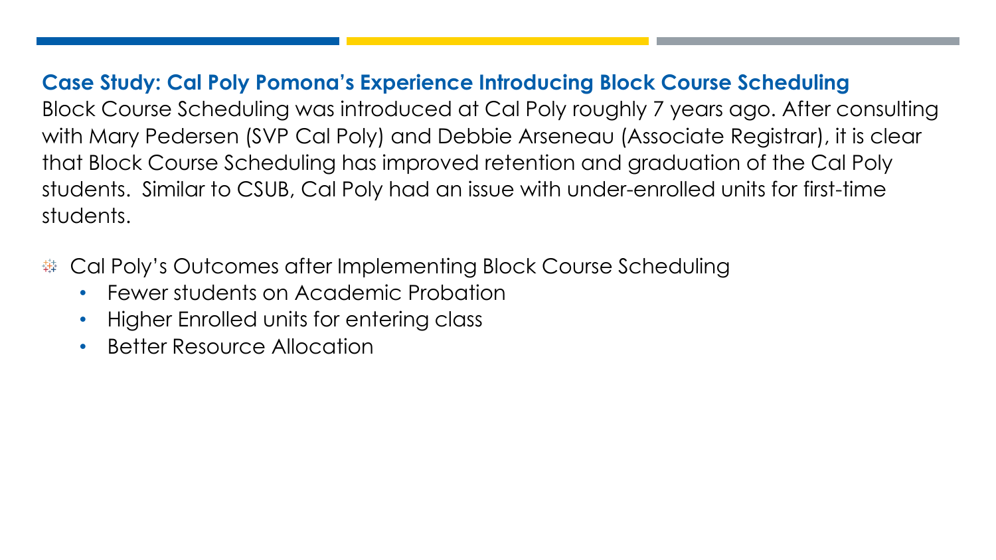**Case Study: Cal Poly Pomona's Experience Introducing Block Course Scheduling**  Block Course Scheduling was introduced at Cal Poly roughly 7 years ago. After consulting with Mary Pedersen (SVP Cal Poly) and Debbie Arseneau (Associate Registrar), it is clear that Block Course Scheduling has improved retention and graduation of the Cal Poly students. Similar to CSUB, Cal Poly had an issue with under-enrolled units for first-time students.

- Cal Poly's Outcomes after Implementing Block Course Scheduling 韡
	- Fewer students on Academic Probation
	- Higher Enrolled units for entering class
	- Better Resource Allocation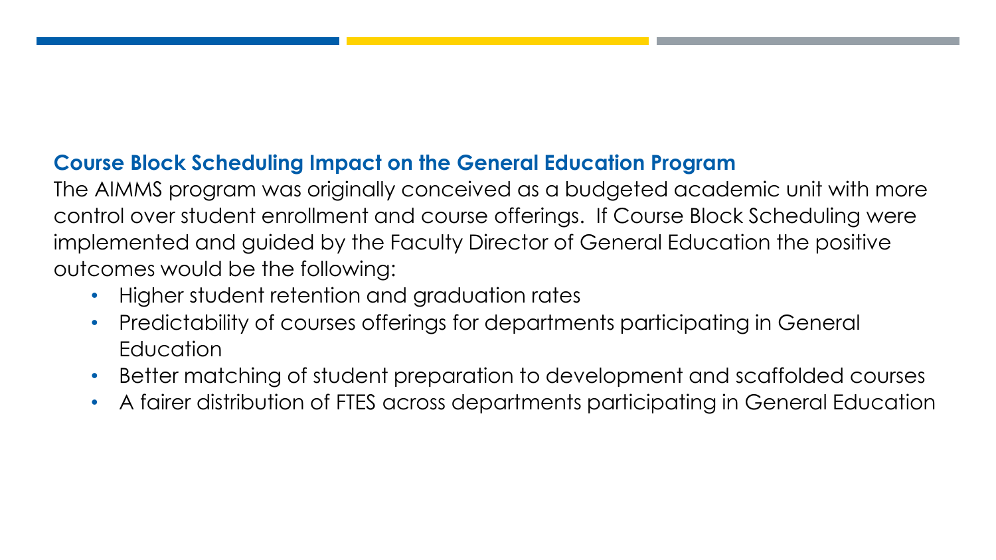## **Course Block Scheduling Impact on the General Education Program**

The AIMMS program was originally conceived as a budgeted academic unit with more control over student enrollment and course offerings. If Course Block Scheduling were implemented and guided by the Faculty Director of General Education the positive outcomes would be the following:

- Higher student retention and graduation rates
- Predictability of courses offerings for departments participating in General **Education**
- Better matching of student preparation to development and scaffolded courses
- A fairer distribution of FTES across departments participating in General Education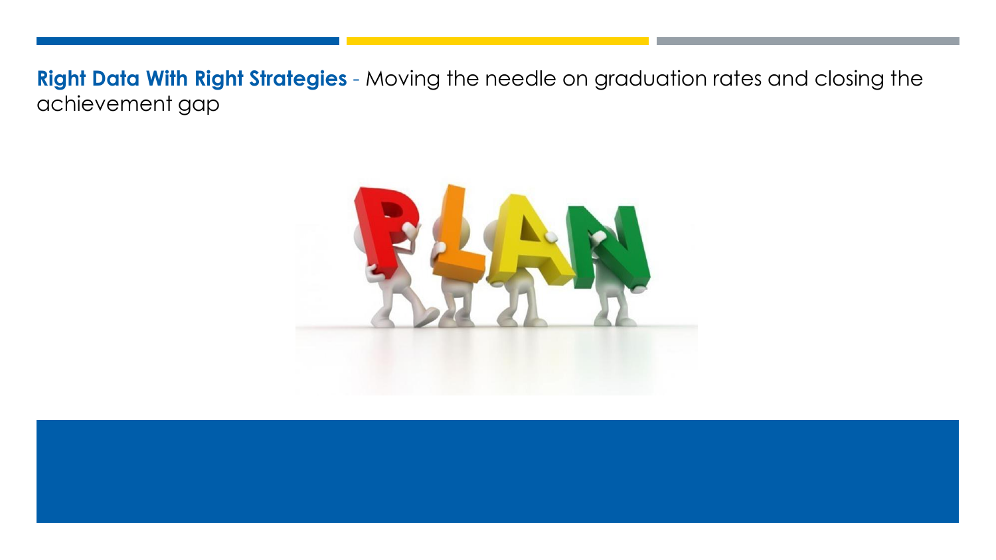**Right Data With Right Strategies** - Moving the needle on graduation rates and closing the achievement gap

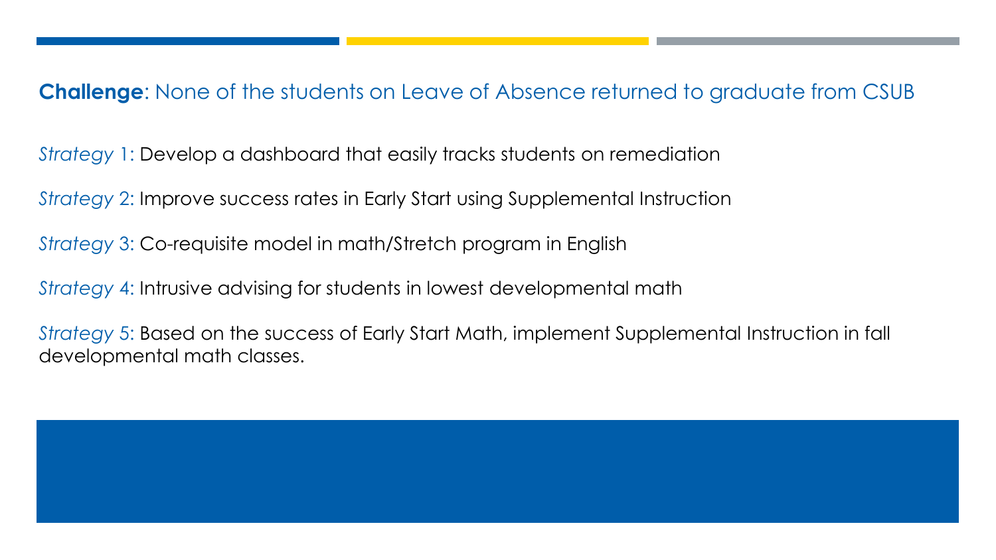## **Challenge**: None of the students on Leave of Absence returned to graduate from CSUB

*Strategy* 1: Develop a dashboard that easily tracks students on remediation

*Strategy* 2: Improve success rates in Early Start using Supplemental Instruction

*Strategy* 3: Co-requisite model in math/Stretch program in English

*Strategy* 4: Intrusive advising for students in lowest developmental math

*Strategy* 5: Based on the success of Early Start Math, implement Supplemental Instruction in fall developmental math classes.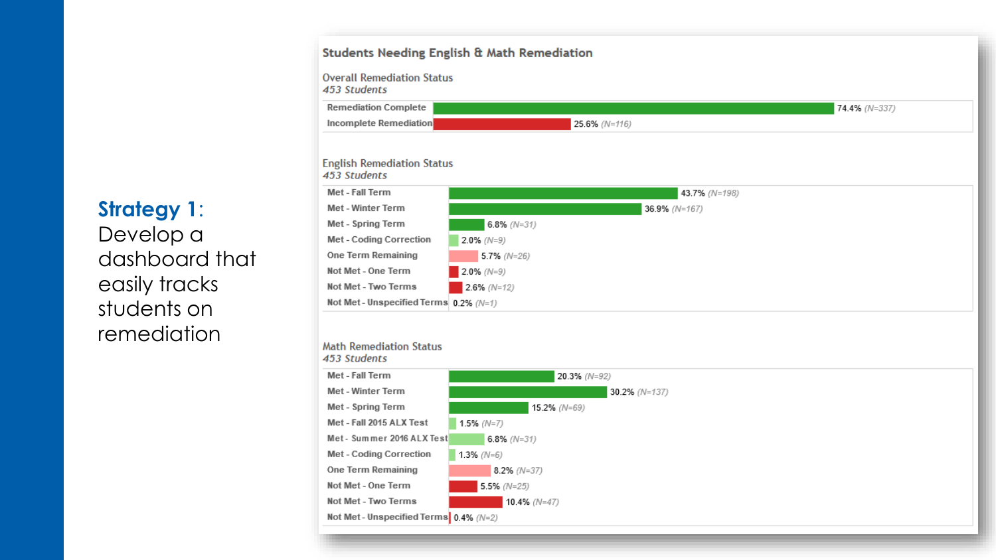#### **Students Needing English & Math Remediation**





**Strategy 1**: Develop a dashboard that easily tracks students on remediation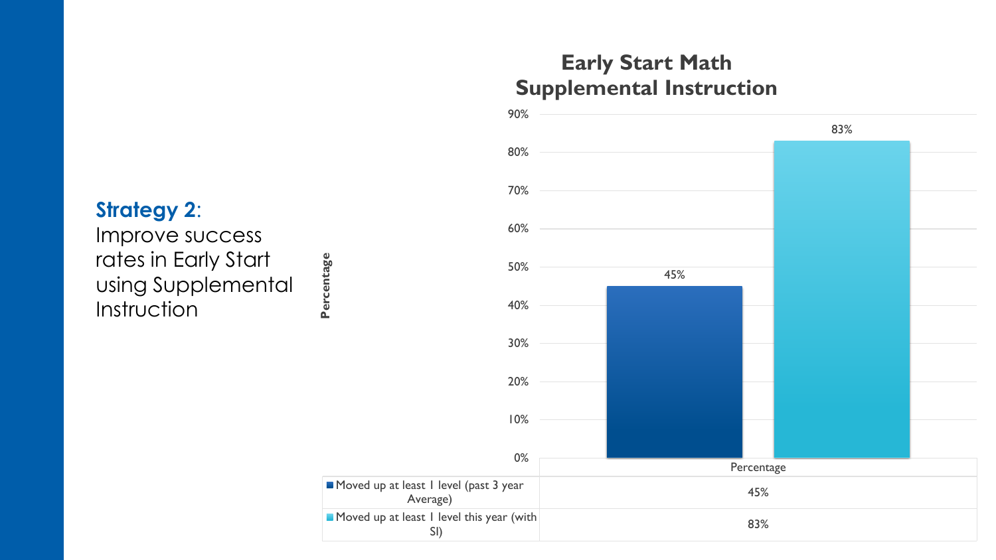## **Early Start Math Supplemental Instruction**



90%

## **Strategy 2**:

Improve success rates in Early Start using Supplemental **Instruction**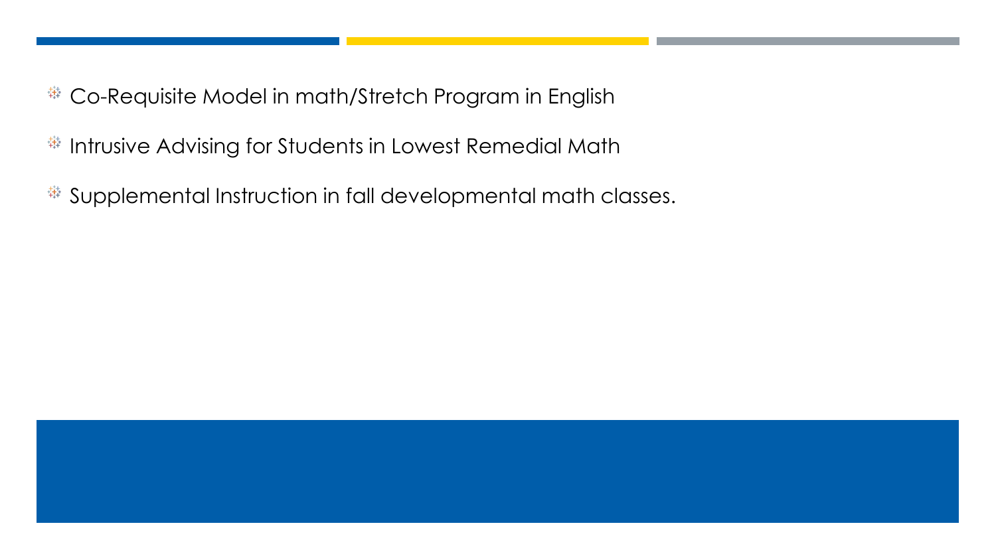- Co-Requisite Model in math/Stretch Program in English 载
- <sup>#</sup> Intrusive Advising for Students in Lowest Remedial Math
- Supplemental Instruction in fall developmental math classes.载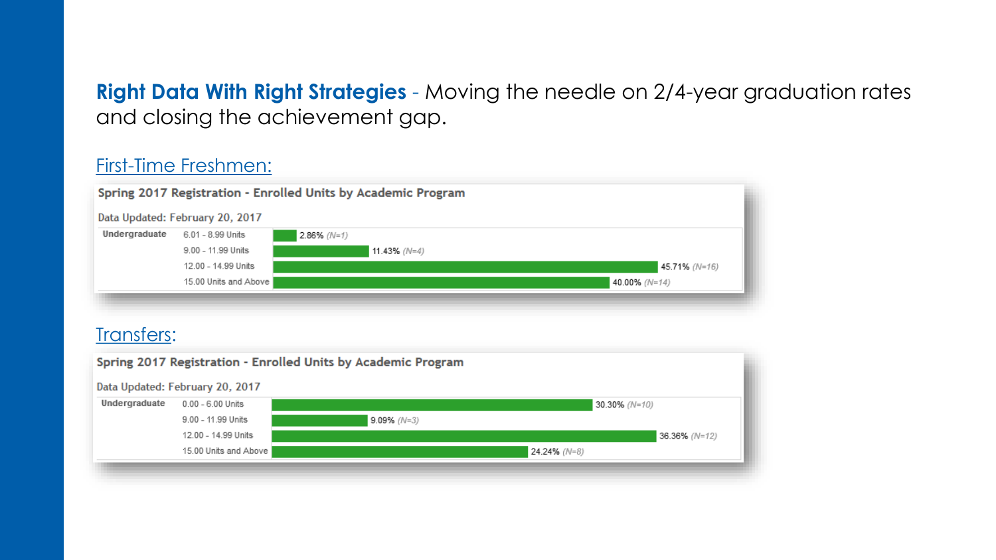**Right Data With Right Strategies** - Moving the needle on 2/4-year graduation rates and closing the achievement gap.

#### First-Time Freshmen:



#### Transfers:

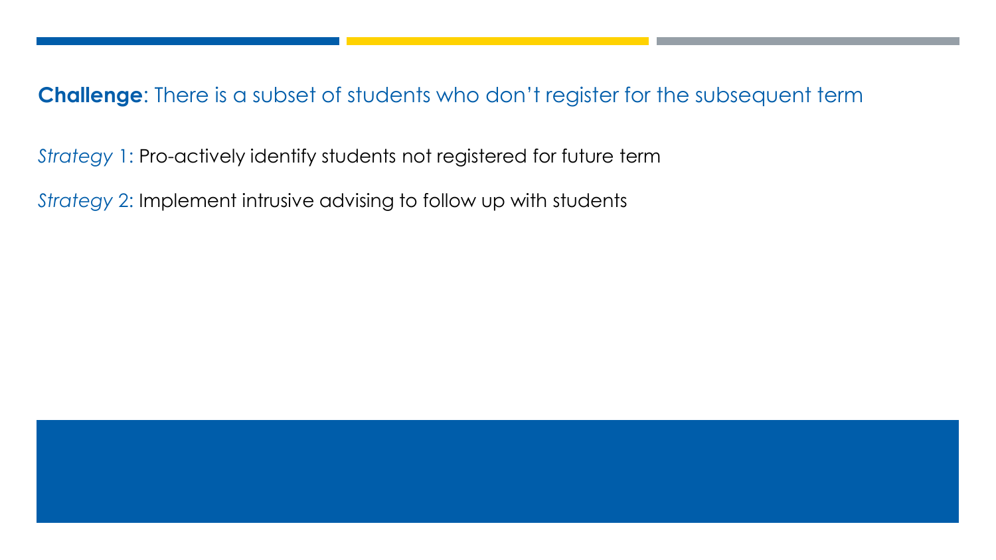**Challenge**: There is a subset of students who don't register for the subsequent term

*Strategy* 1: Pro-actively identify students not registered for future term

*Strategy* 2: Implement intrusive advising to follow up with students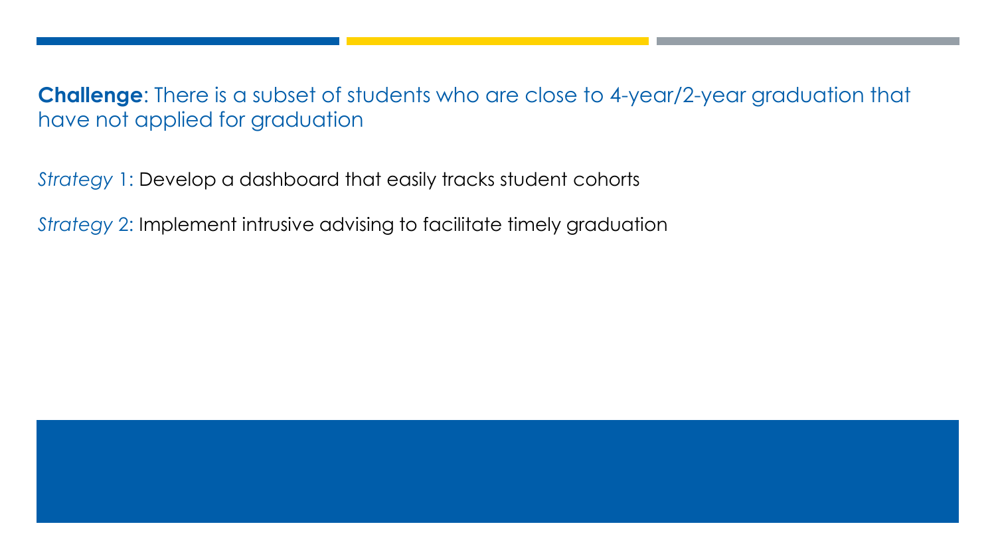**Challenge**: There is a subset of students who are close to 4-year/2-year graduation that have not applied for graduation

*Strategy* 1: Develop a dashboard that easily tracks student cohorts

*Strategy* 2: Implement intrusive advising to facilitate timely graduation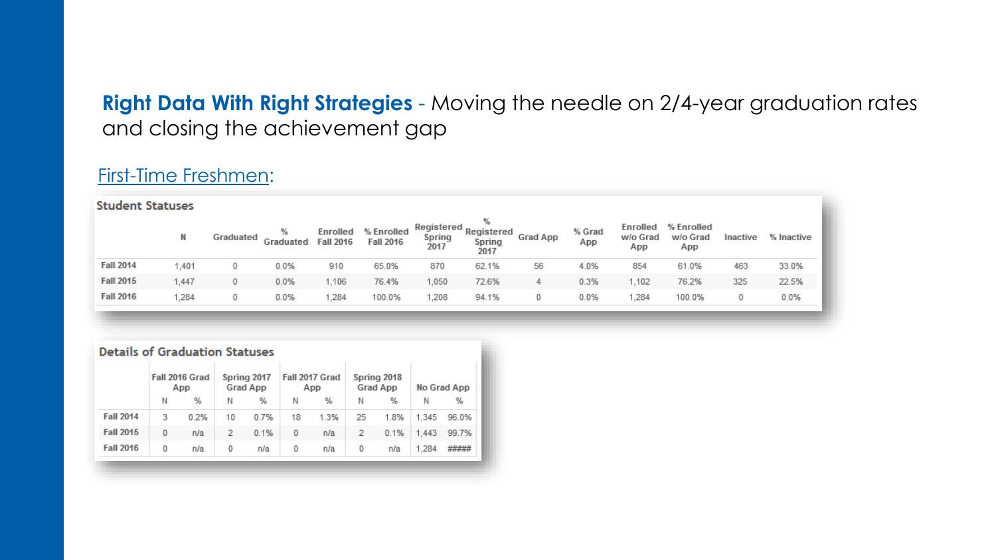## **Right Data With Right Strategies** - Moving the needle on 2/4-year graduation rates and closing the achievement gap

### First-Time Freshmen:

|                  | <b>Student Statuses</b> |           |                |                              |                                |                              |                                   |          |               |                             |                               |          |            |  |
|------------------|-------------------------|-----------|----------------|------------------------------|--------------------------------|------------------------------|-----------------------------------|----------|---------------|-----------------------------|-------------------------------|----------|------------|--|
|                  | N                       | Graduated | %<br>Graduated | Enrolled<br><b>Fall 2016</b> | % Enrolled<br><b>Fall 2016</b> | Registered<br>Spring<br>2017 | %<br>Registered<br>Spring<br>2017 | Grad App | % Grad<br>App | Enrolled<br>w/o Grad<br>App | % Enrolled<br>w/o Grad<br>App | Inactive | % Inactive |  |
| <b>Fall 2014</b> | 1,401                   | 0         | 0.0%           | 910                          | 65.0%                          | 870                          | 62.1%                             | 56       | 4.0%          | 854                         | 61.0%                         | 463      | 33.0%      |  |
| <b>Fall 2015</b> | 1,447                   | 0         | 0.0%           | 1,106                        | 76.4%                          | 1,050                        | 72.6%                             | 4        | 0.3%          | ,102                        | 76.2%                         | 325      | 22.5%      |  |
| <b>Fall 2016</b> | .284                    | 0         | 0.0%           | 1,284                        | 100.0%                         | 1,208                        | 94.1%                             | 0        | 0.0%          | .284                        | 100.0%                        | 0        | 0.0%       |  |

|  | <b>Details of Graduation Statuses</b> |  |  |
|--|---------------------------------------|--|--|
|  |                                       |  |  |

| Ν                     | %    | Ν  | %    | Ν  | %    | Ν  | %    |       |       |
|-----------------------|------|----|------|----|------|----|------|-------|-------|
|                       |      |    |      |    |      |    |      | Ν     | %     |
| <b>Fall 2014</b><br>3 | 0.2% | 10 | 0.7% | 18 | 1.3% | 25 | 1.8% | 1.345 | 96.0% |
| <b>Fall 2015</b><br>0 | n/a  | 2  | 0.1% | 0  | n/a  | 2  | 0.1% | 1.443 | 99.7% |
| <b>Fall 2016</b><br>0 | n/a  | 0  | n/a  | 0  | n/a  | 0  | n/a  | 1.284 | ##### |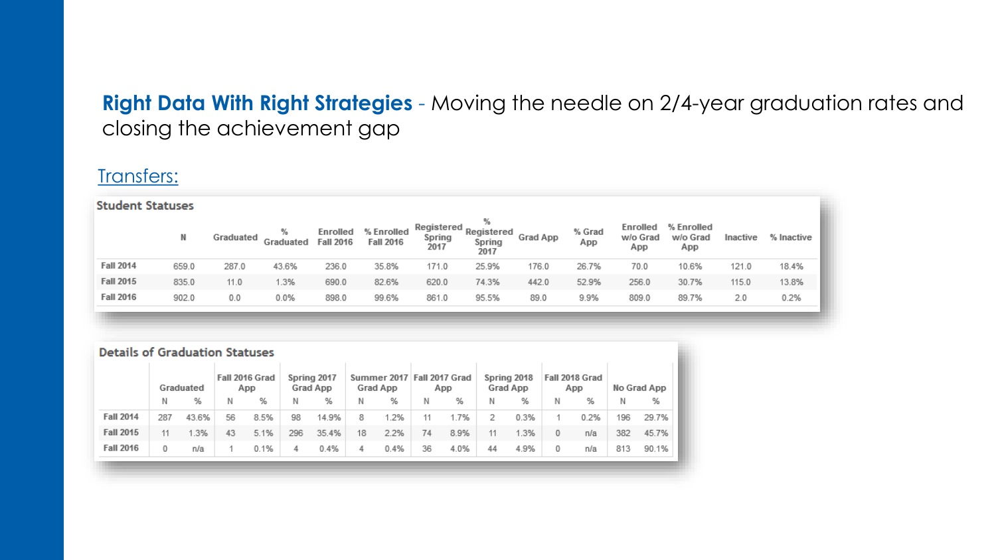## **Right Data With Right Strategies** - Moving the needle on 2/4-year graduation rates and closing the achievement gap

### Transfers:

|                  | <b>Student Statuses</b> |           |                |                              |                                |                              |                                   |          |               |                             |                               |          |            |  |
|------------------|-------------------------|-----------|----------------|------------------------------|--------------------------------|------------------------------|-----------------------------------|----------|---------------|-----------------------------|-------------------------------|----------|------------|--|
|                  | N                       | Graduated | %<br>Graduated | Enrolled<br><b>Fall 2016</b> | % Enrolled<br><b>Fall 2016</b> | Registered<br>Spring<br>2017 | %<br>Registered<br>Spring<br>2017 | Grad App | % Grad<br>App | Enrolled<br>w/o Grad<br>App | % Enrolled<br>w/o Grad<br>App | Inactive | % Inactive |  |
| <b>Fall 2014</b> | 659.0                   | 287.0     | 43.6%          | 236.0                        | 35.8%                          | 171.0                        | 25.9%                             | 176.0    | 26.7%         | 70.0                        | 10.6%                         | 121.0    | 18.4%      |  |
| <b>Fall 2015</b> | 835.0                   | 11.0      | 1.3%           | 690.0                        | 82.6%                          | 620.0                        | 74.3%                             | 442.0    | 52.9%         | 256.0                       | 30.7%                         | 115.0    | 13.8%      |  |
| <b>Fall 2016</b> | 902.0                   | 0.0       | 0.0%           | 898.0                        | 99.6%                          | 861.0                        | 95.5%                             | 89.0     | 9.9%          | 809.0                       | 89.7%                         | 2.0      | 0.2%       |  |
|                  |                         |           |                |                              |                                |                              |                                   |          |               |                             |                               |          |            |  |

|                  | <b>Details of Graduation Statuses</b> |           |    |                       |     |                         |    |                         |    |                       |    |                         |   |                       |     |             |
|------------------|---------------------------------------|-----------|----|-----------------------|-----|-------------------------|----|-------------------------|----|-----------------------|----|-------------------------|---|-----------------------|-----|-------------|
|                  |                                       | Graduated |    | Fall 2016 Grad<br>App |     | Spring 2017<br>Grad App |    | Summer 2017<br>Grad App |    | Fall 2017 Grad<br>App |    | Spring 2018<br>Grad App |   | Fall 2018 Grad<br>App |     | No Grad App |
|                  | Ν                                     | %         | Ν  | %                     | N   | %                       | Ν  | %                       | Ν  | %                     | Ν  | %                       | Ν | %                     | N   | %           |
| <b>Fall 2014</b> | 287                                   | 43.6%     | 56 | 8.5%                  | 98  | 14.9%                   | 8  | 1.2%                    | 11 | 1.7%                  | 2  | 0.3%                    |   | 0.2%                  | 196 | 29.7%       |
| <b>Fall 2015</b> | 11                                    | 1.3%      | 43 | 5.1%                  | 296 | 35.4%                   | 18 | 2.2%                    | 74 | 8.9%                  | 11 | 1.3%                    | 0 | n/a                   | 382 | 45.7%       |
| <b>Fall 2016</b> | 0                                     | n/a       |    | 0.1%                  | 4   | 0.4%                    | 4  | 0.4%                    | 36 | 4.0%                  | 44 | 4.9%                    | 0 | n/a                   | 813 | 90.1%       |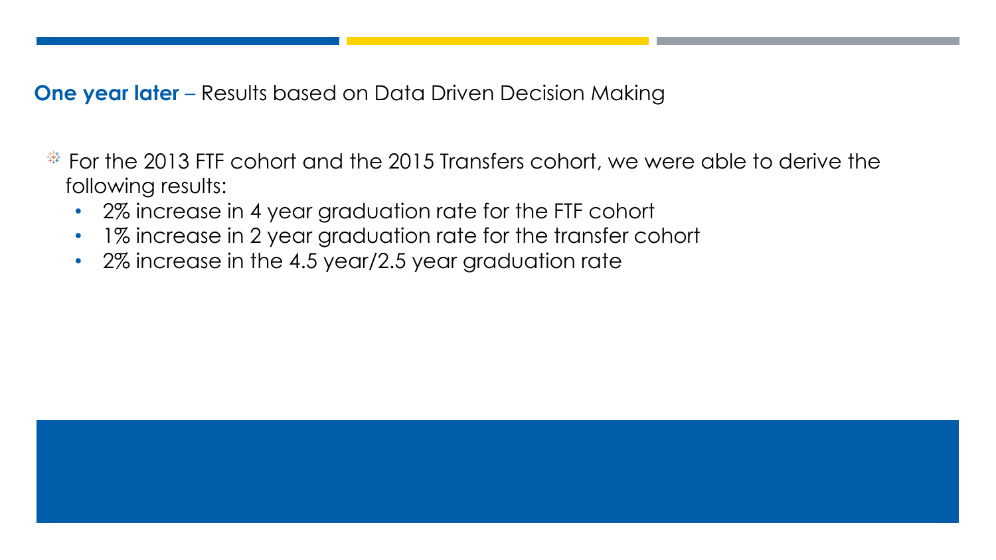**One year later** – Results based on Data Driven Decision Making

- $\frac{44}{3}$  For the 2013 FTF cohort and the 2015 Transfers cohort, we were able to derive the following results:
	- 2% increase in 4 year graduation rate for the FTF cohort
	- 1% increase in 2 year graduation rate for the transfer cohort
	- 2% increase in the 4.5 year/2.5 year graduation rate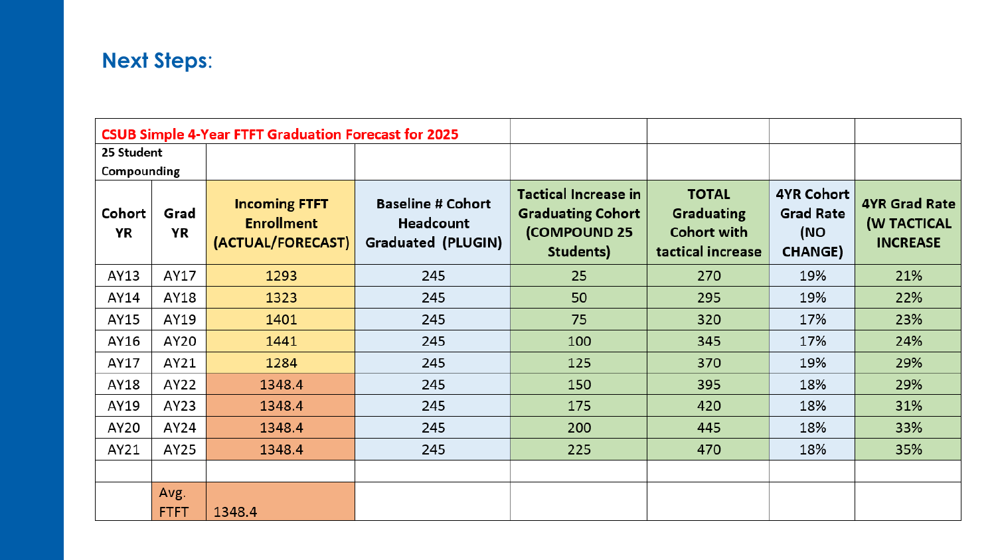## **Next Steps**:

|              |                     | <b>CSUB Simple 4-Year FTFT Graduation Forecast for 2025</b>    |                                                                    |                                                                                      |                                                                              |                                                                |                                                               |
|--------------|---------------------|----------------------------------------------------------------|--------------------------------------------------------------------|--------------------------------------------------------------------------------------|------------------------------------------------------------------------------|----------------------------------------------------------------|---------------------------------------------------------------|
| 25 Student   |                     |                                                                |                                                                    |                                                                                      |                                                                              |                                                                |                                                               |
| Compounding  |                     |                                                                |                                                                    |                                                                                      |                                                                              |                                                                |                                                               |
| Cohort<br>YR | Grad<br>YR          | <b>Incoming FTFT</b><br><b>Enrollment</b><br>(ACTUAL/FORECAST) | <b>Baseline # Cohort</b><br>Headcount<br><b>Graduated (PLUGIN)</b> | <b>Tactical Increase in</b><br><b>Graduating Cohort</b><br>(COMPOUND 25<br>Students) | <b>TOTAL</b><br><b>Graduating</b><br><b>Cohort with</b><br>tactical increase | <b>4YR Cohort</b><br><b>Grad Rate</b><br>(NO<br><b>CHANGE)</b> | <b>4YR Grad Rate</b><br><b>(W TACTICAL</b><br><b>INCREASE</b> |
| AY13         | AY17                | 1293                                                           | 245                                                                | 25                                                                                   | 270                                                                          | 19%                                                            | 21%                                                           |
| AY14         | AY18                | 1323                                                           | 245                                                                | 50                                                                                   | 295                                                                          | 19%                                                            | 22%                                                           |
| AY15         | AY19                | 1401                                                           | 245                                                                | 75                                                                                   | 320                                                                          | 17%                                                            | 23%                                                           |
| AY16         | AY20                | 1441                                                           | 245                                                                | 100                                                                                  | 345                                                                          | 17%                                                            | 24%                                                           |
| AY17         | AY21                | 1284                                                           | 245                                                                | 125                                                                                  | 370                                                                          | 19%                                                            | 29%                                                           |
| AY18         | AY22                | 1348.4                                                         | 245                                                                | 150                                                                                  | 395                                                                          | 18%                                                            | 29%                                                           |
| AY19         | AY23                | 1348.4                                                         | 245                                                                | 175                                                                                  | 420                                                                          | 18%                                                            | 31%                                                           |
| AY20         | AY24                | 1348.4                                                         | 245                                                                | 200                                                                                  | 445                                                                          | 18%                                                            | 33%                                                           |
| AY21         | AY25                | 1348.4                                                         | 245                                                                | 225                                                                                  | 470                                                                          | 18%                                                            | 35%                                                           |
|              |                     |                                                                |                                                                    |                                                                                      |                                                                              |                                                                |                                                               |
|              | Avg.<br><b>FTFT</b> | 1348.4                                                         |                                                                    |                                                                                      |                                                                              |                                                                |                                                               |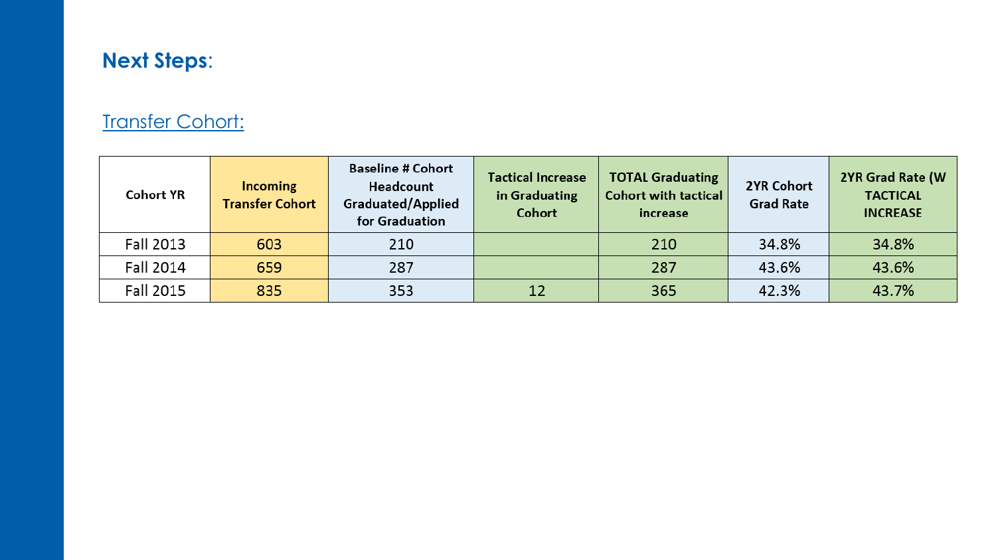## **Next Steps**:

## **Transfer Cohort:**

| <b>Cohort YR</b> | <b>Incoming</b><br><b>Transfer Cohort</b> | <b>Baseline # Cohort</b><br>Headcount<br>Graduated/Applied<br>for Graduation | <b>Tactical Increase</b><br>in Graduating<br>Cohort | <b>TOTAL Graduating</b><br><b>Cohort with tactical</b><br>increase | 2YR Cohort<br><b>Grad Rate</b> | 2YR Grad Rate (W)<br><b>TACTICAL</b><br><b>INCREASE</b> |
|------------------|-------------------------------------------|------------------------------------------------------------------------------|-----------------------------------------------------|--------------------------------------------------------------------|--------------------------------|---------------------------------------------------------|
| Fall 2013        | 603                                       | 210                                                                          |                                                     | 210                                                                | 34.8%                          | 34.8%                                                   |
| Fall 2014        | 659                                       | 287                                                                          |                                                     | 287                                                                | 43.6%                          | 43.6%                                                   |
| Fall 2015        | 835                                       | 353                                                                          | 12                                                  | 365                                                                | 42.3%                          | 43.7%                                                   |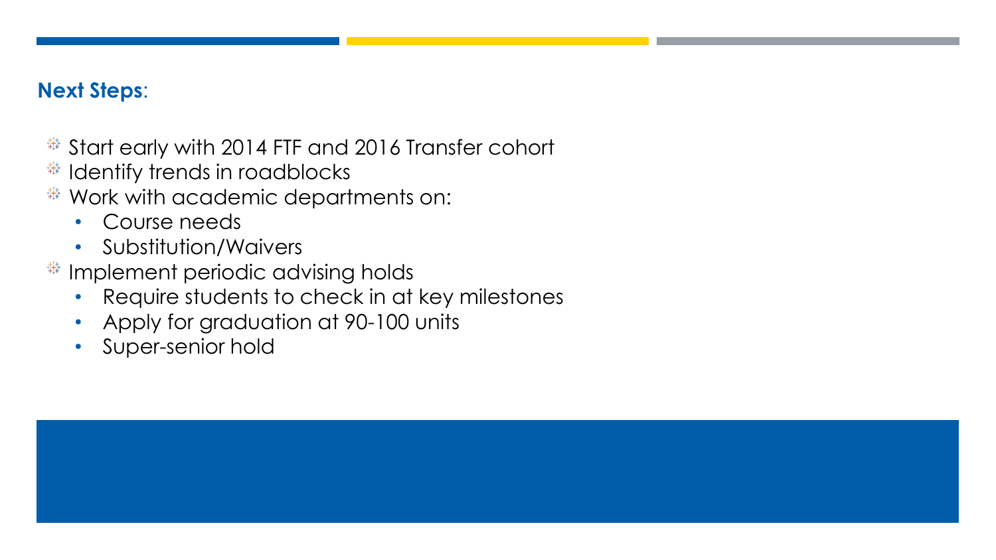## **Next Steps**:

- $\frac{44}{12}$  Start early with 2014 FTF and 2016 Transfer cohort
- $#$  Identify trends in roadblocks
- Work with academic departments on:
	- Course needs
	- Substitution/Waivers
- $#$  Implement periodic advising holds
	- Require students to check in at key milestones
	- Apply for graduation at 90-100 units
	- Super-senior hold